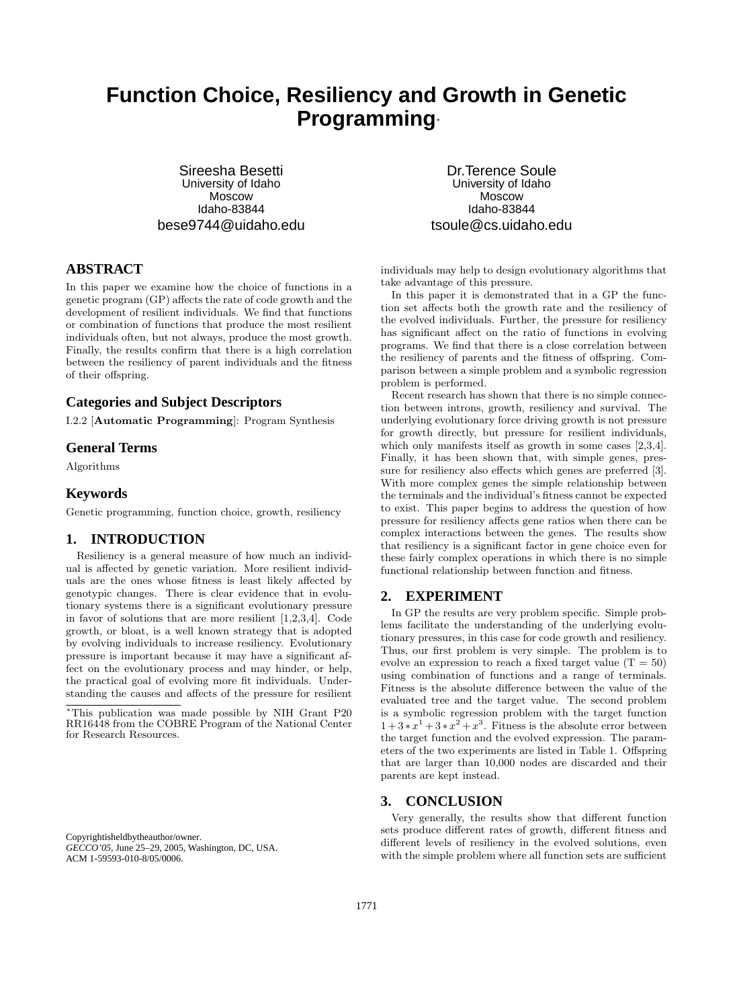# **Function Choice, Resiliency and Growth in Genetic Programming**<sup>∗</sup>

Sireesha Besetti University of Idaho Moscow Idaho-83844 bese9744@uidaho.edu

# **ABSTRACT**

In this paper we examine how the choice of functions in a genetic program (GP) affects the rate of code growth and the development of resilient individuals. We find that functions or combination of functions that produce the most resilient individuals often, but not always, produce the most growth. Finally, the results confirm that there is a high correlation between the resiliency of parent individuals and the fitness of their offspring.

## **Categories and Subject Descriptors**

I.2.2 [Automatic Programming]: Program Synthesis

#### **General Terms**

Algorithms

## **Keywords**

Genetic programming, function choice, growth, resiliency

#### **1. INTRODUCTION**

Resiliency is a general measure of how much an individual is affected by genetic variation. More resilient individuals are the ones whose fitness is least likely affected by genotypic changes. There is clear evidence that in evolutionary systems there is a significant evolutionary pressure in favor of solutions that are more resilient [1,2,3,4]. Code growth, or bloat, is a well known strategy that is adopted by evolving individuals to increase resiliency. Evolutionary pressure is important because it may have a significant affect on the evolutionary process and may hinder, or help, the practical goal of evolving more fit individuals. Understanding the causes and affects of the pressure for resilient

Copyrightisheldbytheauthor/owner. *GECCO'05,* June 25–29, 2005, Washington, DC, USA. ACM 1-59593-010-8/05/0006.

Dr.Terence Soule University of Idaho Moscow Idaho-83844 tsoule@cs.uidaho.edu

individuals may help to design evolutionary algorithms that take advantage of this pressure.

In this paper it is demonstrated that in a GP the function set affects both the growth rate and the resiliency of the evolved individuals. Further, the pressure for resiliency has significant affect on the ratio of functions in evolving programs. We find that there is a close correlation between the resiliency of parents and the fitness of offspring. Comparison between a simple problem and a symbolic regression problem is performed.

Recent research has shown that there is no simple connection between introns, growth, resiliency and survival. The underlying evolutionary force driving growth is not pressure for growth directly, but pressure for resilient individuals, which only manifests itself as growth in some cases [2,3,4]. Finally, it has been shown that, with simple genes, pressure for resiliency also effects which genes are preferred [3]. With more complex genes the simple relationship between the terminals and the individual's fitness cannot be expected to exist. This paper begins to address the question of how pressure for resiliency affects gene ratios when there can be complex interactions between the genes. The results show that resiliency is a significant factor in gene choice even for these fairly complex operations in which there is no simple functional relationship between function and fitness.

## **2. EXPERIMENT**

In GP the results are very problem specific. Simple problems facilitate the understanding of the underlying evolutionary pressures, in this case for code growth and resiliency. Thus, our first problem is very simple. The problem is to evolve an expression to reach a fixed target value  $(T = 50)$ using combination of functions and a range of terminals. Fitness is the absolute difference between the value of the evaluated tree and the target value. The second problem is a symbolic regression problem with the target function  $1+3*x^{1}+3*x^{2}+x^{3}$ . Fitness is the absolute error between the target function and the evolved expression. The parameters of the two experiments are listed in Table 1. Offspring that are larger than 10,000 nodes are discarded and their parents are kept instead.

## **3. CONCLUSION**

Very generally, the results show that different function sets produce different rates of growth, different fitness and different levels of resiliency in the evolved solutions, even with the simple problem where all function sets are sufficient

<sup>∗</sup>This publication was made possible by NIH Grant P20 RR16448 from the COBRE Program of the National Center for Research Resources.